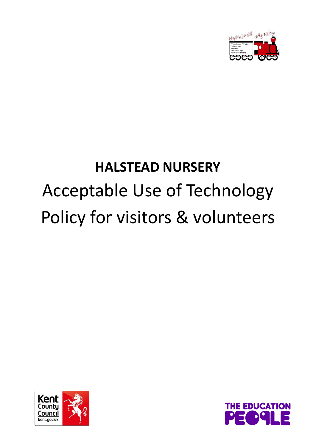

# **HALSTEAD NURSERY** Acceptable Use of Technology Policy for visitors & volunteers



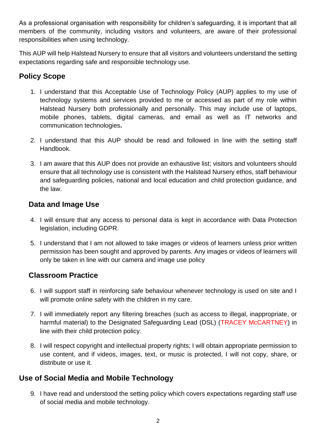As a professional organisation with responsibility for children's safeguarding, it is important that all members of the community, including visitors and volunteers, are aware of their professional responsibilities when using technology.

This AUP will help Halstead Nursery to ensure that all visitors and volunteers understand the setting expectations regarding safe and responsible technology use.

## **Policy Scope**

- 1. I understand that this Acceptable Use of Technology Policy (AUP) applies to my use of technology systems and services provided to me or accessed as part of my role within Halstead Nursery both professionally and personally. This may include use of laptops, mobile phones, tablets, digital cameras, and email as well as IT networks and communication technologies**.**
- 2. I understand that this AUP should be read and followed in line with the setting staff Handbook.
- 3. I am aware that this AUP does not provide an exhaustive list; visitors and volunteers should ensure that all technology use is consistent with the Halstead Nursery ethos, staff behaviour and safeguarding policies, national and local education and child protection guidance, and the law.

### **Data and Image Use**

- 4. I will ensure that any access to personal data is kept in accordance with Data Protection legislation, including GDPR.
- 5. I understand that I am not allowed to take images or videos of learners unless prior written permission has been sought and approved by parents. Any images or videos of learners will only be taken in line with our camera and image use policy

### **Classroom Practice**

- 6. I will support staff in reinforcing safe behaviour whenever technology is used on site and I will promote online safety with the children in my care.
- 7. I will immediately report any filtering breaches (such as access to illegal, inappropriate, or harmful material) to the Designated Safeguarding Lead (DSL) (TRACEY McCARTNEY) in line with their child protection policy.
- 8. I will respect copyright and intellectual property rights; I will obtain appropriate permission to use content, and if videos, images, text, or music is protected, I will not copy, share, or distribute or use it.

### **Use of Social Media and Mobile Technology**

9. I have read and understood the setting policy which covers expectations regarding staff use of social media and mobile technology.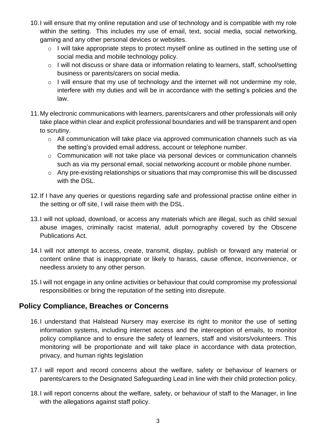- 10.I will ensure that my online reputation and use of technology and is compatible with my role within the setting. This includes my use of email, text, social media, social networking, gaming and any other personal devices or websites.
	- o I will take appropriate steps to protect myself online as outlined in the setting use of social media and mobile technology policy.
	- o I will not discuss or share data or information relating to learners, staff, school/setting business or parents/carers on social media.
	- o I will ensure that my use of technology and the internet will not undermine my role, interfere with my duties and will be in accordance with the setting's policies and the law.
- 11.My electronic communications with learners, parents/carers and other professionals will only take place within clear and explicit professional boundaries and will be transparent and open to scrutiny.
	- o All communication will take place via approved communication channels such as via the setting's provided email address, account or telephone number.
	- o Communication will not take place via personal devices or communication channels such as via my personal email, social networking account or mobile phone number.
	- o Any pre-existing relationships or situations that may compromise this will be discussed with the DSL.
- 12.If I have any queries or questions regarding safe and professional practise online either in the setting or off site, I will raise them with the DSL.
- 13.I will not upload, download, or access any materials which are illegal, such as child sexual abuse images, criminally racist material, adult pornography covered by the Obscene Publications Act.
- 14.I will not attempt to access, create, transmit, display, publish or forward any material or content online that is inappropriate or likely to harass, cause offence, inconvenience, or needless anxiety to any other person.
- 15.I will not engage in any online activities or behaviour that could compromise my professional responsibilities or bring the reputation of the setting into disrepute.

### **Policy Compliance, Breaches or Concerns**

- 16.I understand that Halstead Nursery may exercise its right to monitor the use of setting information systems, including internet access and the interception of emails, to monitor policy compliance and to ensure the safety of learners, staff and visitors/volunteers. This monitoring will be proportionate and will take place in accordance with data protection, privacy, and human rights legislation
- 17.I will report and record concerns about the welfare, safety or behaviour of learners or parents/carers to the Designated Safeguarding Lead in line with their child protection policy.
- 18.I will report concerns about the welfare, safety, or behaviour of staff to the Manager, in line with the allegations against staff policy.